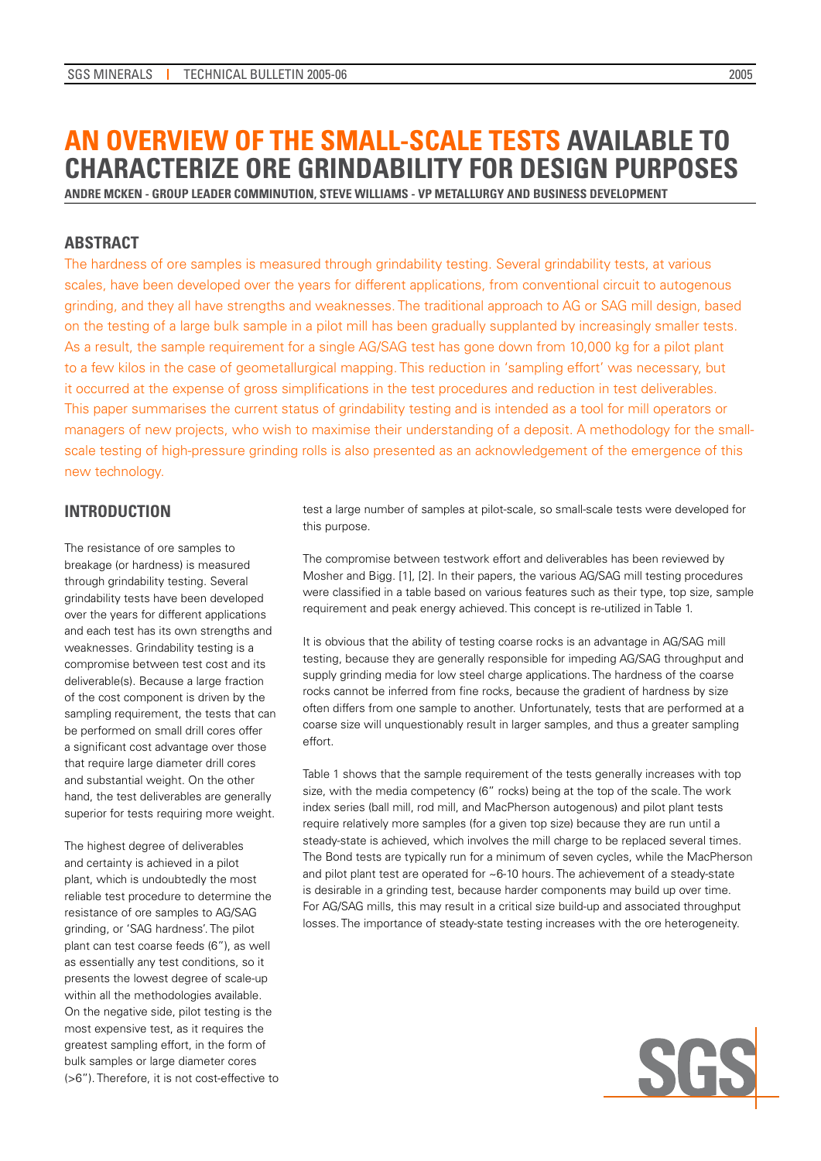# **An Overview of the Small-scale Tests Available to Characterize Ore Grindability for Design Purposes**

**Andre McKen - Group Leader Comminution, Steve Williams - VP Metallurgy and Business Development**

# **ABSTRACT**

The hardness of ore samples is measured through grindability testing. Several grindability tests, at various scales, have been developed over the years for different applications, from conventional circuit to autogenous grinding, and they all have strengths and weaknesses. The traditional approach to AG or SAG mill design, based on the testing of a large bulk sample in a pilot mill has been gradually supplanted by increasingly smaller tests. As a result, the sample requirement for a single AG/SAG test has gone down from 10,000 kg for a pilot plant to a few kilos in the case of geometallurgical mapping. This reduction in 'sampling effort' was necessary, but it occurred at the expense of gross simplifications in the test procedures and reduction in test deliverables. This paper summarises the current status of grindability testing and is intended as a tool for mill operators or managers of new projects, who wish to maximise their understanding of a deposit. A methodology for the smallscale testing of high-pressure grinding rolls is also presented as an acknowledgement of the emergence of this new technology.

# **INTRODUCTION**

The resistance of ore samples to breakage (or hardness) is measured through grindability testing. Several grindability tests have been developed over the years for different applications and each test has its own strengths and weaknesses. Grindability testing is a compromise between test cost and its deliverable(s). Because a large fraction of the cost component is driven by the sampling requirement, the tests that can be performed on small drill cores offer a significant cost advantage over those that require large diameter drill cores and substantial weight. On the other hand, the test deliverables are generally superior for tests requiring more weight.

The highest degree of deliverables and certainty is achieved in a pilot plant, which is undoubtedly the most reliable test procedure to determine the resistance of ore samples to AG/SAG grinding, or 'SAG hardness'. The pilot plant can test coarse feeds (6"), as well as essentially any test conditions, so it presents the lowest degree of scale-up within all the methodologies available. On the negative side, pilot testing is the most expensive test, as it requires the greatest sampling effort, in the form of bulk samples or large diameter cores (>6"). Therefore, it is not cost-effective to test a large number of samples at pilot-scale, so small-scale tests were developed for this purpose.

The compromise between testwork effort and deliverables has been reviewed by Mosher and Bigg. [1], [2]. In their papers, the various AG/SAG mill testing procedures were classified in a table based on various features such as their type, top size, sample requirement and peak energy achieved. This concept is re-utilized in Table 1.

It is obvious that the ability of testing coarse rocks is an advantage in AG/SAG mill testing, because they are generally responsible for impeding AG/SAG throughput and supply grinding media for low steel charge applications. The hardness of the coarse rocks cannot be inferred from fine rocks, because the gradient of hardness by size often differs from one sample to another. Unfortunately, tests that are performed at a coarse size will unquestionably result in larger samples, and thus a greater sampling effort.

Table 1 shows that the sample requirement of the tests generally increases with top size, with the media competency (6" rocks) being at the top of the scale. The work index series (ball mill, rod mill, and MacPherson autogenous) and pilot plant tests require relatively more samples (for a given top size) because they are run until a steady-state is achieved, which involves the mill charge to be replaced several times. The Bond tests are typically run for a minimum of seven cycles, while the MacPherson and pilot plant test are operated for  $\sim$  6-10 hours. The achievement of a steady-state is desirable in a grinding test, because harder components may build up over time. For AG/SAG mills, this may result in a critical size build-up and associated throughput losses. The importance of steady-state testing increases with the ore heterogeneity.

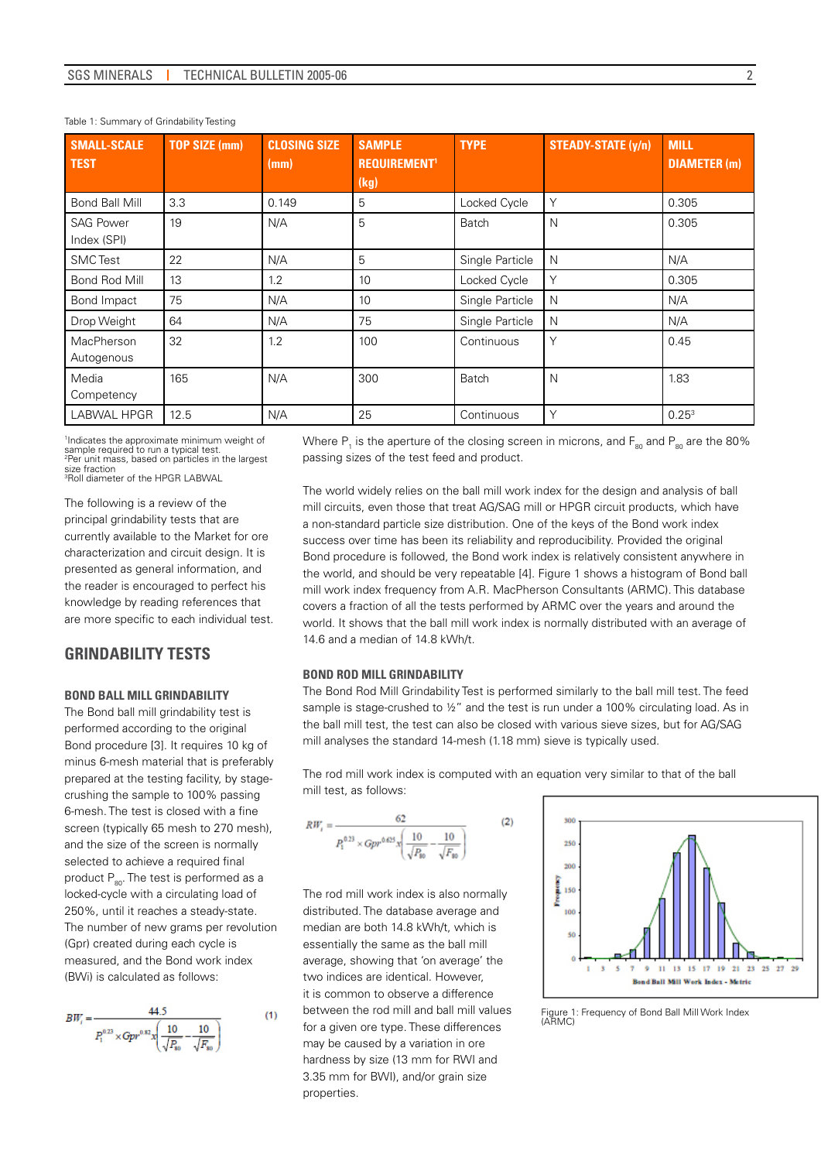| <b>SMALL-SCALE</b><br><b>TEST</b> | <b>TOP SIZE (mm)</b> | <b>CLOSING SIZE</b><br>(mm) | <b>SAMPLE</b><br><b>REQUIREMENT'</b><br>(kg) | <b>TYPE</b>     | <b>STEADY-STATE (y/n)</b> | <b>MILL</b><br><b>DIAMETER</b> (m) |
|-----------------------------------|----------------------|-----------------------------|----------------------------------------------|-----------------|---------------------------|------------------------------------|
| Bond Ball Mill                    | 3.3                  | 0.149                       | 5                                            | Locked Cycle    | Y                         | 0.305                              |
| <b>SAG Power</b><br>Index (SPI)   | 19                   | N/A                         | 5                                            | Batch           | N                         | 0.305                              |
| <b>SMC</b> Test                   | 22                   | N/A                         | 5                                            | Single Particle | $\mathsf{N}$              | N/A                                |
| Bond Rod Mill                     | 13                   | 1.2                         | 10                                           | Locked Cycle    | Υ                         | 0.305                              |
| Bond Impact                       | 75                   | N/A                         | 10                                           | Single Particle | N                         | N/A                                |
| Drop Weight                       | 64                   | N/A                         | 75                                           | Single Particle | N                         | N/A                                |
| MacPherson<br>Autogenous          | 32                   | 1.2                         | 100                                          | Continuous      | Υ                         | 0.45                               |
| Media<br>Competency               | 165                  | N/A                         | 300                                          | Batch           | N                         | 1.83                               |
| LABWAL HPGR                       | 12.5                 | N/A                         | 25                                           | Continuous      | Υ                         | 0.25 <sup>3</sup>                  |

#### Table 1: Summary of Grindability Testing

1 Indicates the approximate minimum weight of sample required to run a typical test. 2 Per unit mass, based on particles in the largest size fraction 3 Roll diameter of the HPGR LABWAL

The following is a review of the principal grindability tests that are currently available to the Market for ore characterization and circuit design. It is presented as general information, and the reader is encouraged to perfect his knowledge by reading references that are more specific to each individual test.

## **GRINDABILITY TESTS**

## **Bond Ball Mill Grindability**

The Bond ball mill grindability test is performed according to the original Bond procedure [3]. It requires 10 kg of minus 6-mesh material that is preferably prepared at the testing facility, by stagecrushing the sample to 100% passing 6-mesh. The test is closed with a fine screen (typically 65 mesh to 270 mesh), and the size of the screen is normally selected to achieve a required final product  $P_{\text{on}}$ . The test is performed as a locked-cycle with a circulating load of 250%, until it reaches a steady-state. The number of new grams per revolution (Gpr) created during each cycle is measured, and the Bond work index (BWi) is calculated as follows:

$$
BW_i = \frac{44.5}{P_1^{0.23} \times Gpr^{0.82} x \left(\frac{10}{\sqrt{P_{80}}}-\frac{10}{\sqrt{F_{80}}}\right)}
$$
(1)

Where  $\mathsf{P}_\text{\tiny{1}}$  is the aperture of the closing screen in microns, and  $\mathsf{F}_\text{\tiny{80}}$  and  $\mathsf{P}_\text{\tiny{80}}$  are the 80% passing sizes of the test feed and product.

The world widely relies on the ball mill work index for the design and analysis of ball mill circuits, even those that treat AG/SAG mill or HPGR circuit products, which have a non-standard particle size distribution. One of the keys of the Bond work index success over time has been its reliability and reproducibility. Provided the original Bond procedure is followed, the Bond work index is relatively consistent anywhere in the world, and should be very repeatable [4]. Figure 1 shows a histogram of Bond ball mill work index frequency from A.R. MacPherson Consultants (ARMC). This database covers a fraction of all the tests performed by ARMC over the years and around the world. It shows that the ball mill work index is normally distributed with an average of 14.6 and a median of 14.8 kWh/t.

#### **Bond Rod Mill Grindability**

The Bond Rod Mill Grindability Test is performed similarly to the ball mill test. The feed sample is stage-crushed to  $\frac{1}{2}$ " and the test is run under a 100% circulating load. As in the ball mill test, the test can also be closed with various sieve sizes, but for AG/SAG mill analyses the standard 14-mesh (1.18 mm) sieve is typically used.

The rod mill work index is computed with an equation very similar to that of the ball mill test, as follows:

$$
RW_{i} = \frac{62}{P_{1}^{0.23} \times Gpr^{0.625} x \left(\frac{10}{\sqrt{P_{80}}} - \frac{10}{\sqrt{F_{80}}}\right)}
$$
(2)

The rod mill work index is also normally distributed. The database average and median are both 14.8 kWh/t, which is essentially the same as the ball mill average, showing that 'on average' the two indices are identical. However, it is common to observe a difference between the rod mill and ball mill values for a given ore type. These differences may be caused by a variation in ore hardness by size (13 mm for RWI and 3.35 mm for BWI), and/or grain size properties.



Figure 1: Frequency of Bond Ball Mill Work Index (ARMC)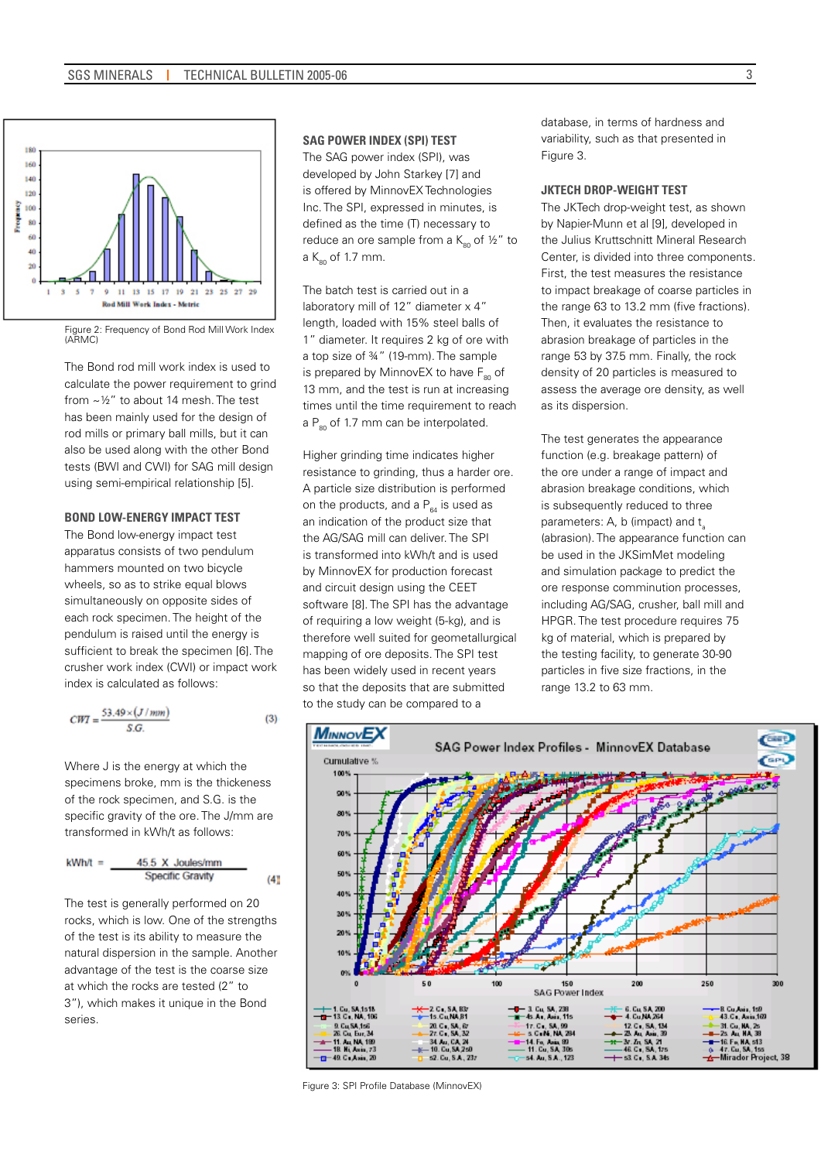

Figure 2: Frequency of Bond Rod Mill Work Index (ARMC)

The Bond rod mill work index is used to calculate the power requirement to grind from ~½" to about 14 mesh. The test has been mainly used for the design of rod mills or primary ball mills, but it can also be used along with the other Bond tests (BWI and CWI) for SAG mill design using semi-empirical relationship [5].

#### **Bond Low-energy Impact Test**

The Bond low-energy impact test apparatus consists of two pendulum hammers mounted on two bicycle wheels, so as to strike equal blows simultaneously on opposite sides of each rock specimen. The height of the pendulum is raised until the energy is sufficient to break the specimen [6]. The crusher work index (CWI) or impact work index is calculated as follows:

$$
CWT = \frac{53.49 \times (J/mm)}{S.G.}
$$
 (3)

Where J is the energy at which the specimens broke, mm is the thickeness of the rock specimen, and S.G. is the specific gravity of the ore. The J/mm are transformed in kWh/t as follows:

$$
kWh/t = \underline{45.5 \times Joules/mm}
$$
  
Specific Gravity (4)

The test is generally performed on 20 rocks, which is low. One of the strengths of the test is its ability to measure the natural dispersion in the sample. Another advantage of the test is the coarse size at which the rocks are tested (2" to 3"), which makes it unique in the Bond series.

#### **SAG Power Index (SPI) Test**

The SAG power index (SPI), was developed by John Starkey [7] and is offered by MinnovEX Technologies Inc. The SPI, expressed in minutes, is defined as the time (T) necessary to reduce an ore sample from a  $K_{80}$  of  $\frac{1}{2}$ " to a  $K_{\infty}$  of 1.7 mm.

The batch test is carried out in a laboratory mill of 12" diameter x 4" length, loaded with 15% steel balls of 1" diameter. It requires 2 kg of ore with a top size of ¾" (19-mm). The sample is prepared by MinnovEX to have  $F_{80}$  of 13 mm, and the test is run at increasing times until the time requirement to reach a  $P_{\text{so}}$  of 1.7 mm can be interpolated.

Higher grinding time indicates higher resistance to grinding, thus a harder ore. A particle size distribution is performed on the products, and a  $P_{64}$  is used as an indication of the product size that the AG/SAG mill can deliver. The SPI is transformed into kWh/t and is used by MinnovEX for production forecast and circuit design using the CEET software [8]. The SPI has the advantage of requiring a low weight (5-kg), and is therefore well suited for geometallurgical mapping of ore deposits. The SPI test has been widely used in recent years so that the deposits that are submitted to the study can be compared to a

database, in terms of hardness and variability, such as that presented in Figure 3.

#### **JKTech Drop-weight Test**

The JKTech drop-weight test, as shown by Napier-Munn et al [9], developed in the Julius Kruttschnitt Mineral Research Center, is divided into three components. First, the test measures the resistance to impact breakage of coarse particles in the range 63 to 13.2 mm (five fractions). Then, it evaluates the resistance to abrasion breakage of particles in the range 53 by 37.5 mm. Finally, the rock density of 20 particles is measured to assess the average ore density, as well as its dispersion.

The test generates the appearance function (e.g. breakage pattern) of the ore under a range of impact and abrasion breakage conditions, which is subsequently reduced to three parameters: A, b (impact) and t (abrasion). The appearance function can be used in the JKSimMet modeling and simulation package to predict the ore response comminution processes, including AG/SAG, crusher, ball mill and HPGR. The test procedure requires 75 kg of material, which is prepared by the testing facility, to generate 30-90 particles in five size fractions, in the range 13.2 to 63 mm.



Figure 3: SPI Profile Database (MinnovEX)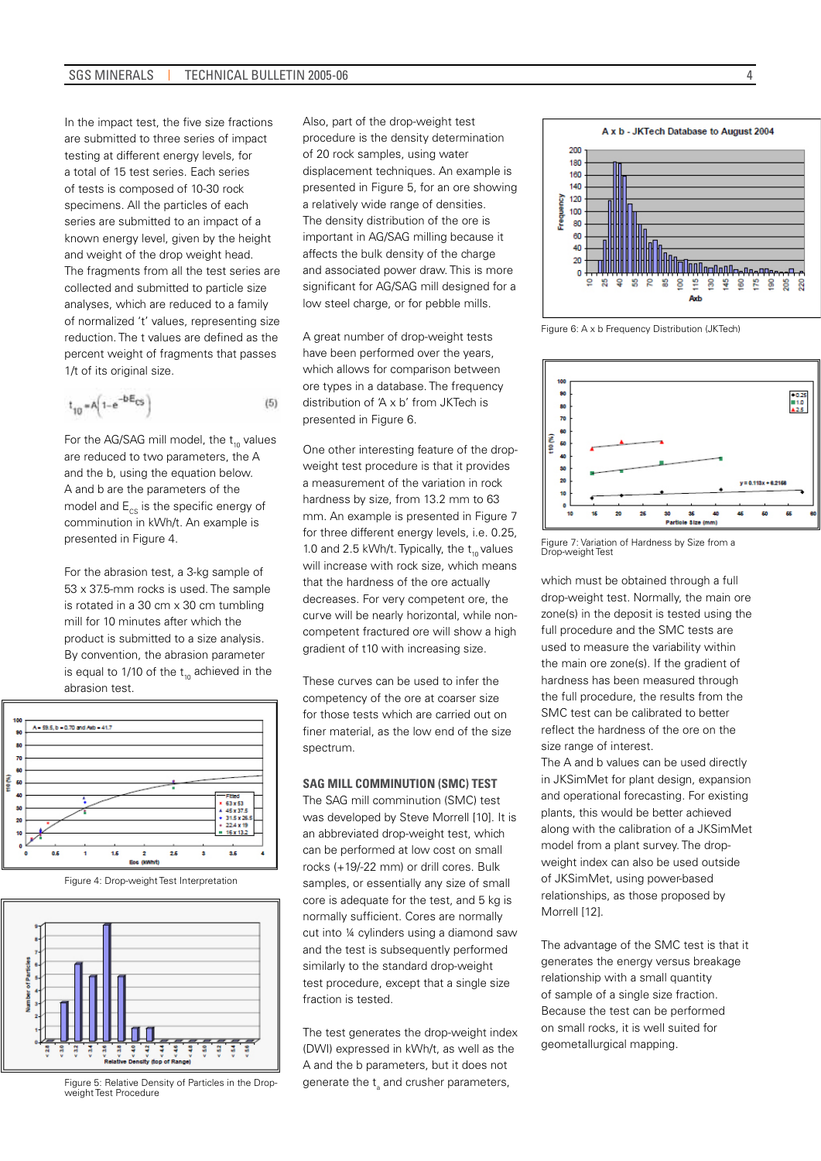In the impact test, the five size fractions are submitted to three series of impact testing at different energy levels, for a total of 15 test series. Each series of tests is composed of 10-30 rock specimens. All the particles of each series are submitted to an impact of a known energy level, given by the height and weight of the drop weight head. The fragments from all the test series are collected and submitted to particle size analyses, which are reduced to a family of normalized 't' values, representing size reduction. The t values are defined as the percent weight of fragments that passes 1/t of its original size.

$$
t_{10} = A \left( 1 - e^{-D \cdot E} \cos \right) \tag{5}
$$

For the AG/SAG mill model, the  $t_{10}$  values are reduced to two parameters, the A and the b, using the equation below. A and b are the parameters of the model and  $E_{\infty}$  is the specific energy of comminution in kWh/t. An example is presented in Figure 4.

For the abrasion test, a 3-kg sample of 53 x 37.5-mm rocks is used. The sample is rotated in a 30 cm x 30 cm tumbling mill for 10 minutes after which the product is submitted to a size analysis. By convention, the abrasion parameter is equal to 1/10 of the  $t_{10}$  achieved in the abrasion test.



Figure 4: Drop-weight Test Interpretation



Figure 5: Relative Density of Particles in the Dropweight Test Procedure

Also, part of the drop-weight test procedure is the density determination of 20 rock samples, using water displacement techniques. An example is presented in Figure 5, for an ore showing a relatively wide range of densities. The density distribution of the ore is important in AG/SAG milling because it affects the bulk density of the charge and associated power draw. This is more significant for AG/SAG mill designed for a low steel charge, or for pebble mills.

A great number of drop-weight tests have been performed over the years, which allows for comparison between ore types in a database. The frequency distribution of 'A x b' from JKTech is presented in Figure 6.

One other interesting feature of the dropweight test procedure is that it provides a measurement of the variation in rock hardness by size, from 13.2 mm to 63 mm. An example is presented in Figure 7 for three different energy levels, i.e. 0.25, 1.0 and 2.5 kWh/t. Typically, the  $t_{10}$  values will increase with rock size, which means that the hardness of the ore actually decreases. For very competent ore, the curve will be nearly horizontal, while noncompetent fractured ore will show a high gradient of t10 with increasing size.

These curves can be used to infer the competency of the ore at coarser size for those tests which are carried out on finer material, as the low end of the size spectrum.

#### **SAG Mill Comminution (SMC) Test**

The SAG mill comminution (SMC) test was developed by Steve Morrell [10]. It is an abbreviated drop-weight test, which can be performed at low cost on small rocks (+19/-22 mm) or drill cores. Bulk samples, or essentially any size of small core is adequate for the test, and 5 kg is normally sufficient. Cores are normally cut into ¼ cylinders using a diamond saw and the test is subsequently performed similarly to the standard drop-weight test procedure, except that a single size fraction is tested.

The test generates the drop-weight index (DWI) expressed in kWh/t, as well as the A and the b parameters, but it does not generate the t<sub>a</sub> and crusher parameters,

A x b - JKTech Database to August 2004 200 180 160 140 120 Frequency 100 80 60 40 20 <del>∏ ∏∏∏qqQqQqqqqqqqq</del> n  $\frac{16}{16}$ 8 ន្ល Axh

Figure 6: A x b Frequency Distribution (JKTech)



Figure 7: Variation of Hardness by Size from a Drop-weight Test

which must be obtained through a full drop-weight test. Normally, the main ore zone(s) in the deposit is tested using the full procedure and the SMC tests are used to measure the variability within the main ore zone(s). If the gradient of hardness has been measured through the full procedure, the results from the SMC test can be calibrated to better reflect the hardness of the ore on the size range of interest.

The A and b values can be used directly in JKSimMet for plant design, expansion and operational forecasting. For existing plants, this would be better achieved along with the calibration of a JKSimMet model from a plant survey. The dropweight index can also be used outside of JKSimMet, using power-based relationships, as those proposed by Morrell [12].

The advantage of the SMC test is that it generates the energy versus breakage relationship with a small quantity of sample of a single size fraction. Because the test can be performed on small rocks, it is well suited for geometallurgical mapping.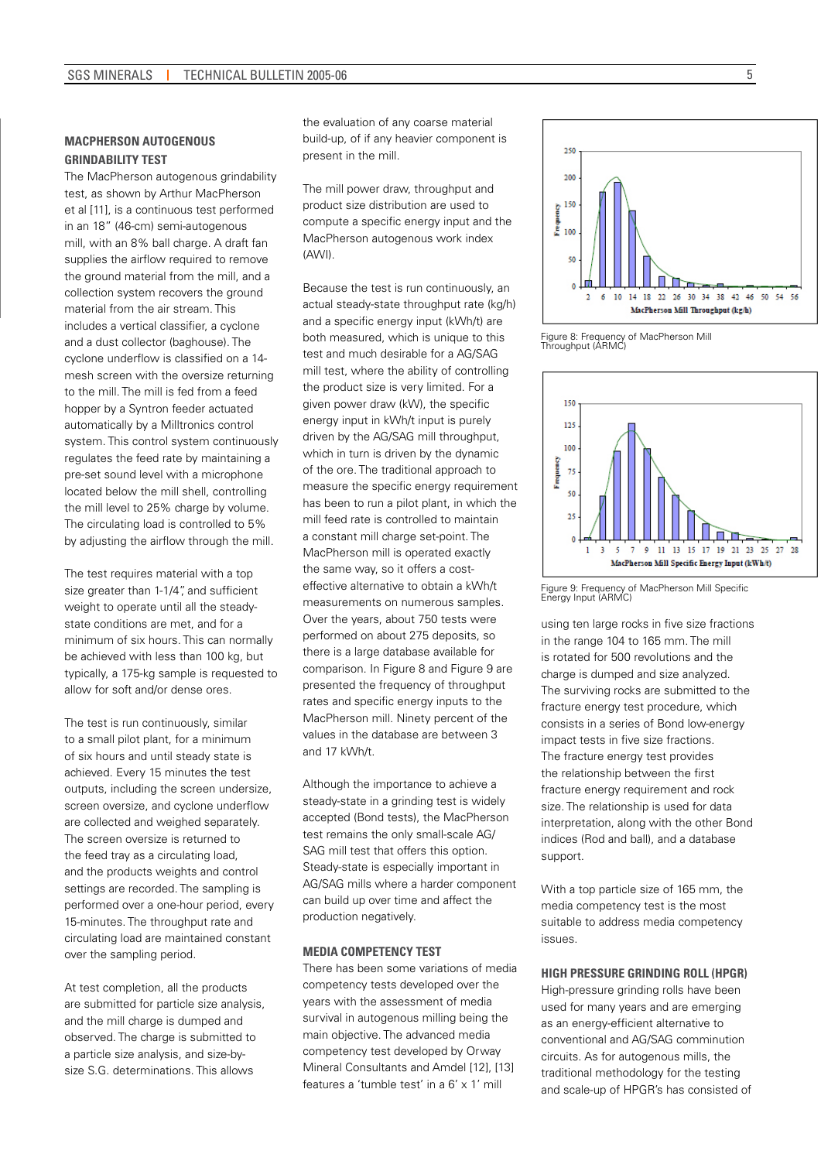## **MacPherson Autogenous Grindability Test**

The MacPherson autogenous grindability test, as shown by Arthur MacPherson et al [11], is a continuous test performed in an 18" (46-cm) semi-autogenous mill, with an 8% ball charge. A draft fan supplies the airflow required to remove the ground material from the mill, and a collection system recovers the ground material from the air stream. This includes a vertical classifier, a cyclone and a dust collector (baghouse). The cyclone underflow is classified on a 14 mesh screen with the oversize returning to the mill. The mill is fed from a feed hopper by a Syntron feeder actuated automatically by a Milltronics control system. This control system continuously regulates the feed rate by maintaining a pre-set sound level with a microphone located below the mill shell, controlling the mill level to 25% charge by volume. The circulating load is controlled to 5% by adjusting the airflow through the mill.

The test requires material with a top size greater than 1-1/4", and sufficient weight to operate until all the steadystate conditions are met, and for a minimum of six hours. This can normally be achieved with less than 100 kg, but typically, a 175-kg sample is requested to allow for soft and/or dense ores.

The test is run continuously, similar to a small pilot plant, for a minimum of six hours and until steady state is achieved. Every 15 minutes the test outputs, including the screen undersize, screen oversize, and cyclone underflow are collected and weighed separately. The screen oversize is returned to the feed tray as a circulating load, and the products weights and control settings are recorded. The sampling is performed over a one-hour period, every 15-minutes. The throughput rate and circulating load are maintained constant over the sampling period.

At test completion, all the products are submitted for particle size analysis, and the mill charge is dumped and observed. The charge is submitted to a particle size analysis, and size-bysize S.G. determinations. This allows

the evaluation of any coarse material build-up, of if any heavier component is present in the mill.

The mill power draw, throughput and product size distribution are used to compute a specific energy input and the MacPherson autogenous work index (AWI).

Because the test is run continuously, an actual steady-state throughput rate (kg/h) and a specific energy input (kWh/t) are both measured, which is unique to this test and much desirable for a AG/SAG mill test, where the ability of controlling the product size is very limited. For a given power draw (kW), the specific energy input in kWh/t input is purely driven by the AG/SAG mill throughput, which in turn is driven by the dynamic of the ore. The traditional approach to measure the specific energy requirement has been to run a pilot plant, in which the mill feed rate is controlled to maintain a constant mill charge set-point. The MacPherson mill is operated exactly the same way, so it offers a costeffective alternative to obtain a kWh/t measurements on numerous samples. Over the years, about 750 tests were performed on about 275 deposits, so there is a large database available for comparison. In Figure 8 and Figure 9 are presented the frequency of throughput rates and specific energy inputs to the MacPherson mill. Ninety percent of the values in the database are between 3 and 17 kWh/t.

Although the importance to achieve a steady-state in a grinding test is widely accepted (Bond tests), the MacPherson test remains the only small-scale AG/ SAG mill test that offers this option. Steady-state is especially important in AG/SAG mills where a harder component can build up over time and affect the production negatively.

#### **Media Competency Test**

There has been some variations of media competency tests developed over the years with the assessment of media survival in autogenous milling being the main objective. The advanced media competency test developed by Orway Mineral Consultants and Amdel [12], [13] features a 'tumble test' in a 6' x 1' mill

50 ħ  $\overline{a}$ 10 14 18 22 26 30 34 38 42 46 50 54 56  $\overline{2}$ 6 MacPherson Mill Throughput (kg/h)

Figure 8: Frequency of MacPherson Mill Throughput (ARMC)

250  $200$ 

150 b  $\frac{8}{2}$  100



Figure 9: Frequency of MacPherson Mill Specific Energy Input (ARMC)

using ten large rocks in five size fractions in the range 104 to 165 mm. The mill is rotated for 500 revolutions and the charge is dumped and size analyzed. The surviving rocks are submitted to the fracture energy test procedure, which consists in a series of Bond low-energy impact tests in five size fractions. The fracture energy test provides the relationship between the first fracture energy requirement and rock size. The relationship is used for data interpretation, along with the other Bond indices (Rod and ball), and a database support.

With a top particle size of 165 mm, the media competency test is the most suitable to address media competency issues.

### **High Pressure Grinding Roll (HPGR)**

High-pressure grinding rolls have been used for many years and are emerging as an energy-efficient alternative to conventional and AG/SAG comminution circuits. As for autogenous mills, the traditional methodology for the testing and scale-up of HPGR's has consisted of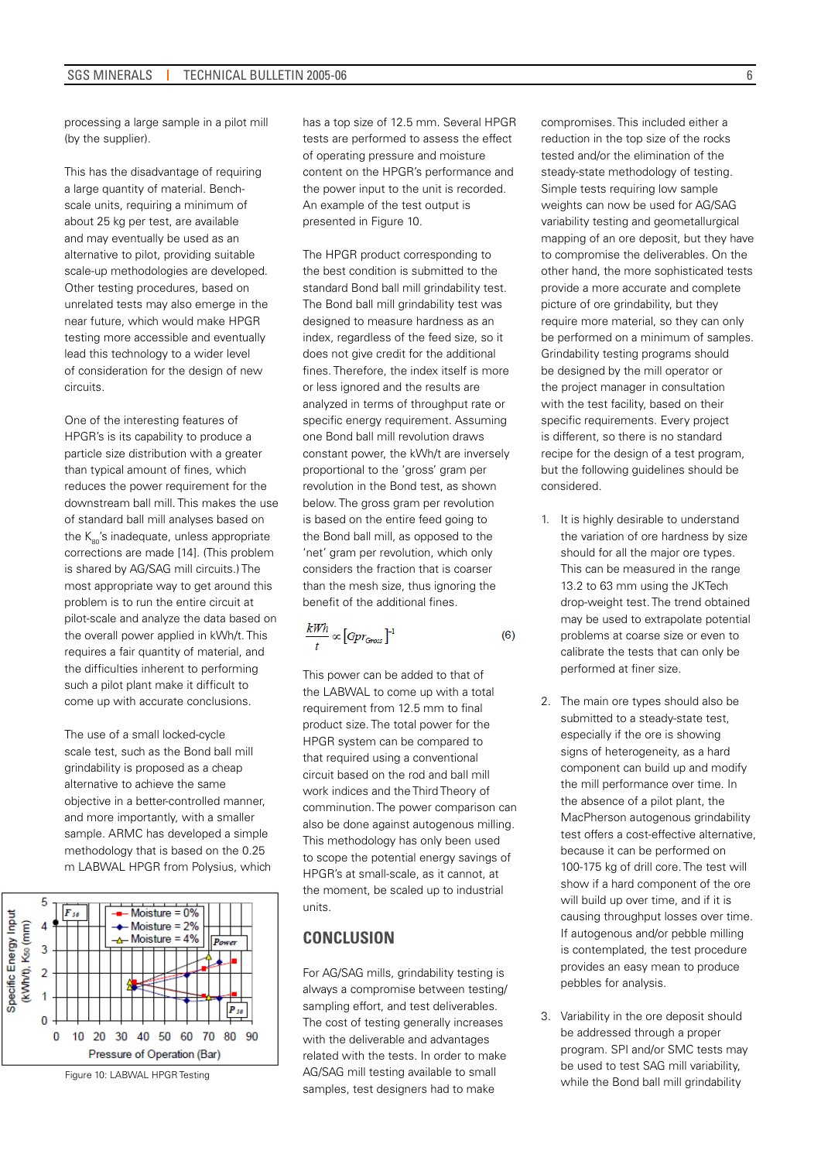processing a large sample in a pilot mill (by the supplier).

This has the disadvantage of requiring a large quantity of material. Benchscale units, requiring a minimum of about 25 kg per test, are available and may eventually be used as an alternative to pilot, providing suitable scale-up methodologies are developed. Other testing procedures, based on unrelated tests may also emerge in the near future, which would make HPGR testing more accessible and eventually lead this technology to a wider level of consideration for the design of new circuits.

One of the interesting features of HPGR's is its capability to produce a particle size distribution with a greater than typical amount of fines, which reduces the power requirement for the downstream ball mill. This makes the use of standard ball mill analyses based on the  $K_{\infty}$ 's inadequate, unless appropriate corrections are made [14]. (This problem is shared by AG/SAG mill circuits.) The most appropriate way to get around this problem is to run the entire circuit at pilot-scale and analyze the data based on the overall power applied in kWh/t. This requires a fair quantity of material, and the difficulties inherent to performing such a pilot plant make it difficult to come up with accurate conclusions.

The use of a small locked-cycle scale test, such as the Bond ball mill grindability is proposed as a cheap alternative to achieve the same objective in a better-controlled manner, and more importantly, with a smaller sample. ARMC has developed a simple methodology that is based on the 0.25 m LABWAL HPGR from Polysius, which



Figure 10: LABWAL HPGR Testing

has a top size of 12.5 mm. Several HPGR tests are performed to assess the effect of operating pressure and moisture content on the HPGR's performance and the power input to the unit is recorded. An example of the test output is presented in Figure 10.

The HPGR product corresponding to the best condition is submitted to the standard Bond ball mill grindability test. The Bond ball mill grindability test was designed to measure hardness as an index, regardless of the feed size, so it does not give credit for the additional fines. Therefore, the index itself is more or less ignored and the results are analyzed in terms of throughput rate or specific energy requirement. Assuming one Bond ball mill revolution draws constant power, the kWh/t are inversely proportional to the 'gross' gram per revolution in the Bond test, as shown below. The gross gram per revolution is based on the entire feed going to the Bond ball mill, as opposed to the 'net' gram per revolution, which only considers the fraction that is coarser than the mesh size, thus ignoring the benefit of the additional fines.

$$
\frac{kWh}{t} \propto [Gpr_{Gross}]^{-1} \tag{6}
$$

This power can be added to that of the LABWAL to come up with a total requirement from 12.5 mm to final product size. The total power for the HPGR system can be compared to that required using a conventional circuit based on the rod and ball mill work indices and the Third Theory of comminution. The power comparison can also be done against autogenous milling. This methodology has only been used to scope the potential energy savings of HPGR's at small-scale, as it cannot, at the moment, be scaled up to industrial units.

# **CONCLUSION**

For AG/SAG mills, grindability testing is always a compromise between testing/ sampling effort, and test deliverables. The cost of testing generally increases with the deliverable and advantages related with the tests. In order to make AG/SAG mill testing available to small samples, test designers had to make

compromises. This included either a reduction in the top size of the rocks tested and/or the elimination of the steady-state methodology of testing. Simple tests requiring low sample weights can now be used for AG/SAG variability testing and geometallurgical mapping of an ore deposit, but they have to compromise the deliverables. On the other hand, the more sophisticated tests provide a more accurate and complete picture of ore grindability, but they require more material, so they can only be performed on a minimum of samples. Grindability testing programs should be designed by the mill operator or the project manager in consultation with the test facility, based on their specific requirements. Every project is different, so there is no standard recipe for the design of a test program, but the following guidelines should be considered.

- 1. It is highly desirable to understand the variation of ore hardness by size should for all the major ore types. This can be measured in the range 13.2 to 63 mm using the JKTech drop-weight test. The trend obtained may be used to extrapolate potential problems at coarse size or even to calibrate the tests that can only be performed at finer size.
- 2. The main ore types should also be submitted to a steady-state test, especially if the ore is showing signs of heterogeneity, as a hard component can build up and modify the mill performance over time. In the absence of a pilot plant, the MacPherson autogenous grindability test offers a cost-effective alternative, because it can be performed on 100-175 kg of drill core. The test will show if a hard component of the ore will build up over time, and if it is causing throughput losses over time. If autogenous and/or pebble milling is contemplated, the test procedure provides an easy mean to produce pebbles for analysis.
- 3. Variability in the ore deposit should be addressed through a proper program. SPI and/or SMC tests may be used to test SAG mill variability, while the Bond ball mill grindability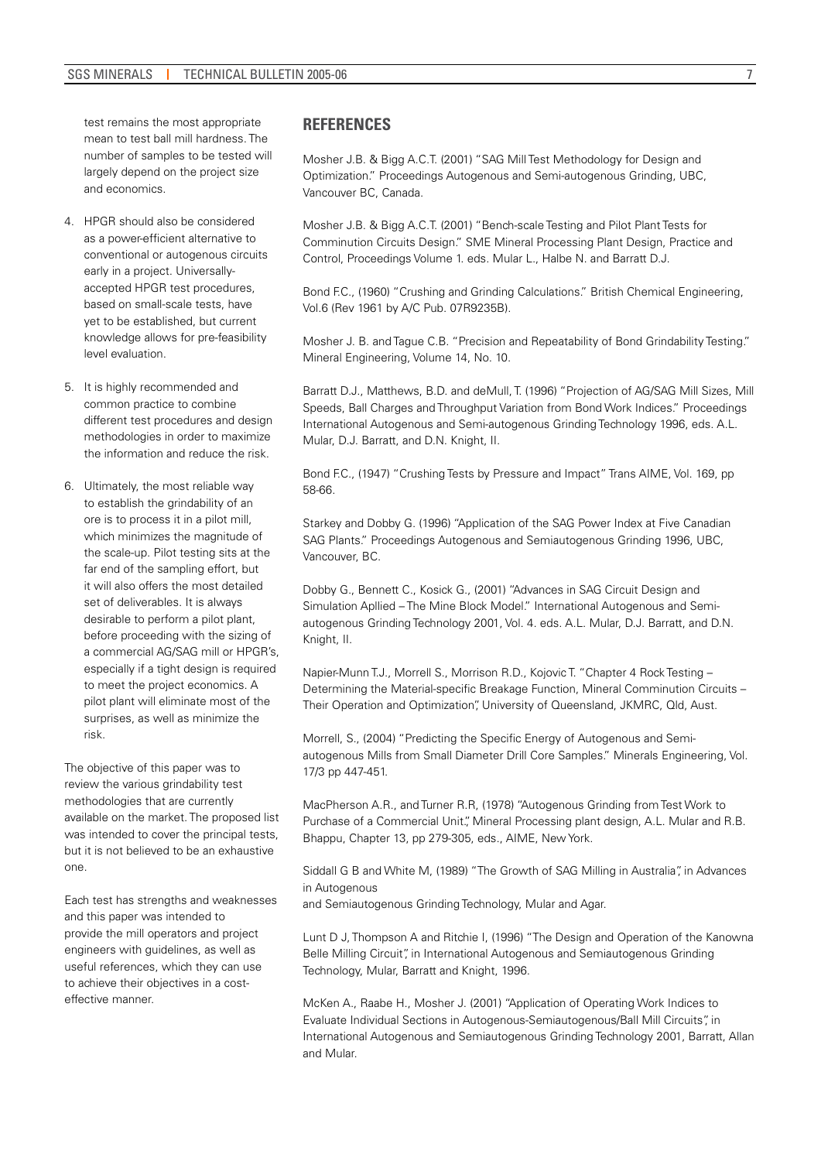test remains the most appropriate mean to test ball mill hardness. The number of samples to be tested will largely depend on the project size and economics.

- 4. HPGR should also be considered as a power-efficient alternative to conventional or autogenous circuits early in a project. Universallyaccepted HPGR test procedures, based on small-scale tests, have yet to be established, but current knowledge allows for pre-feasibility level evaluation.
- 5. It is highly recommended and common practice to combine different test procedures and design methodologies in order to maximize the information and reduce the risk.
- 6. Ultimately, the most reliable way to establish the grindability of an ore is to process it in a pilot mill, which minimizes the magnitude of the scale-up. Pilot testing sits at the far end of the sampling effort, but it will also offers the most detailed set of deliverables. It is always desirable to perform a pilot plant, before proceeding with the sizing of a commercial AG/SAG mill or HPGR's, especially if a tight design is required to meet the project economics. A pilot plant will eliminate most of the surprises, as well as minimize the risk.

The objective of this paper was to review the various grindability test methodologies that are currently available on the market. The proposed list was intended to cover the principal tests, but it is not believed to be an exhaustive one.

Each test has strengths and weaknesses and this paper was intended to provide the mill operators and project engineers with guidelines, as well as useful references, which they can use to achieve their objectives in a costeffective manner.

## **REFERENCES**

Mosher J.B. & Bigg A.C.T. (2001) "SAG Mill Test Methodology for Design and Optimization." Proceedings Autogenous and Semi-autogenous Grinding, UBC, Vancouver BC, Canada.

Mosher J.B. & Bigg A.C.T. (2001) "Bench-scale Testing and Pilot Plant Tests for Comminution Circuits Design." SME Mineral Processing Plant Design, Practice and Control, Proceedings Volume 1. eds. Mular L., Halbe N. and Barratt D.J.

Bond F.C., (1960) "Crushing and Grinding Calculations." British Chemical Engineering, Vol.6 (Rev 1961 by A/C Pub. 07R9235B).

Mosher J. B. and Tague C.B. "Precision and Repeatability of Bond Grindability Testing." Mineral Engineering, Volume 14, No. 10.

Barratt D.J., Matthews, B.D. and deMull, T. (1996) "Projection of AG/SAG Mill Sizes, Mill Speeds, Ball Charges and Throughput Variation from Bond Work Indices." Proceedings International Autogenous and Semi-autogenous Grinding Technology 1996, eds. A.L. Mular, D.J. Barratt, and D.N. Knight, II.

Bond F.C., (1947) "Crushing Tests by Pressure and Impact" Trans AIME, Vol. 169, pp 58-66.

Starkey and Dobby G. (1996) "Application of the SAG Power Index at Five Canadian SAG Plants." Proceedings Autogenous and Semiautogenous Grinding 1996, UBC, Vancouver, BC.

Dobby G., Bennett C., Kosick G., (2001) "Advances in SAG Circuit Design and Simulation Apllied – The Mine Block Model." International Autogenous and Semiautogenous Grinding Technology 2001, Vol. 4. eds. A.L. Mular, D.J. Barratt, and D.N. Knight, II.

Napier-Munn T.J., Morrell S., Morrison R.D., Kojovic T. "Chapter 4 Rock Testing – Determining the Material-specific Breakage Function, Mineral Comminution Circuits – Their Operation and Optimization", University of Queensland, JKMRC, Qld, Aust.

Morrell, S., (2004) "Predicting the Specific Energy of Autogenous and Semiautogenous Mills from Small Diameter Drill Core Samples." Minerals Engineering, Vol. 17/3 pp 447-451.

MacPherson A.R., and Turner R.R, (1978) "Autogenous Grinding from Test Work to Purchase of a Commercial Unit.", Mineral Processing plant design, A.L. Mular and R.B. Bhappu, Chapter 13, pp 279-305, eds., AIME, New York.

Siddall G B and White M, (1989) "The Growth of SAG Milling in Australia", in Advances in Autogenous

and Semiautogenous Grinding Technology, Mular and Agar.

Lunt D J, Thompson A and Ritchie I, (1996) "The Design and Operation of the Kanowna Belle Milling Circuit", in International Autogenous and Semiautogenous Grinding Technology, Mular, Barratt and Knight, 1996.

McKen A., Raabe H., Mosher J. (2001) "Application of Operating Work Indices to Evaluate Individual Sections in Autogenous-Semiautogenous/Ball Mill Circuits", in International Autogenous and Semiautogenous Grinding Technology 2001, Barratt, Allan and Mular.